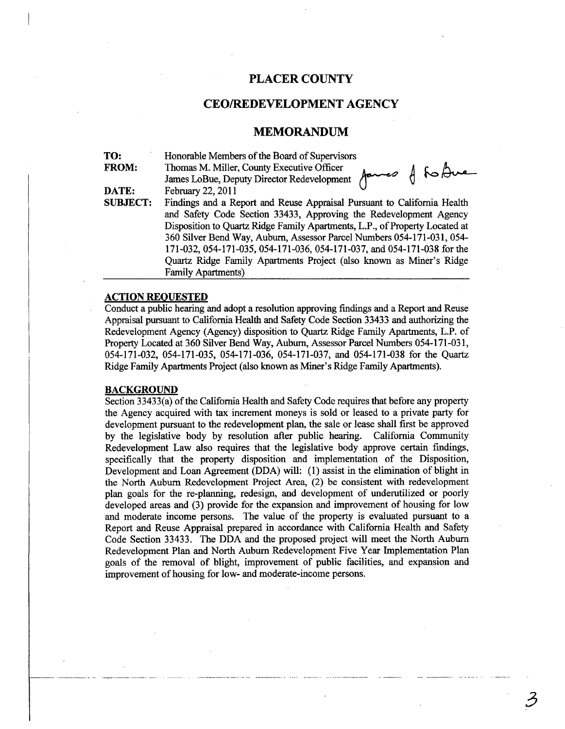## **PLACER COUNTY**

### **CEOffiEDEVELOPMENTAGENCY**

#### **MEMORANDUM**

| TO:             | Honorable Members of the Board of Supervisors                               |
|-----------------|-----------------------------------------------------------------------------|
| FROM:           | Thomas M. Miller, County Executive Officer                                  |
|                 | James LoBue, Deputy Director Redevelopment James A Robue                    |
| DATE:           | February 22, 2011                                                           |
| <b>SUBJECT:</b> | Findings and a Report and Reuse Appraisal Pursuant to California Health     |
|                 | and Safety Code Section 33433, Approving the Redevelopment Agency           |
|                 | Disposition to Quartz Ridge Family Apartments, L.P., of Property Located at |
|                 | 360 Silver Bend Way, Auburn, Assessor Parcel Numbers 054-171-031, 054-      |
|                 | 171-032, 054-171-035, 054-171-036, 054-171-037, and 054-171-038 for the     |
|                 | Quartz Ridge Family Apartments Project (also known as Miner's Ridge         |
|                 | <b>Family Apartments)</b>                                                   |

#### **ACTION REOUESTED**

Conduct a public hearing and adopt a resolution approving findings and a Report and Reuse Appraisal pursuant to California Health and Safety Code Section 33433 and authorizing the Redevelopment Agency (Agency) disposition to Quartz Ridge Family Apartments, L.P. of Property Located at 360 Silver Bend Way, Auburn, Assessor Parcel Numbers 054-171-031, 054-171-032, 054-171-035, 054-171-036, 054-171-037, and 054-171-038 for the Quartz Ridge Family Apartments Project (also known as Miner's Ridge Family Apartments).

#### **BACKGROUND**

Section 33433(a) of the California Health and Safety Code requires that before any property the Agency acquired with tax increment moneys is sold or leased to a private party for development pursuant to the redevelopment plan, the sale or lease shall first be approved by the legislative body by resolution after public hearing. California Community Redevelopment Law also requires that the legislative body approve certain findings, specifically that the property disposition and implementation of the Disposition, Development and Loan Agreement (DDA) will: (1) assist in the elimination of blight in the North Auburn Redevelopment Project Area, (2) be consistent with redevelopment plan goals for the re-planning, redesign, and development of underutilized or poorly developed areas and (3) provide for the expansion and improvement of housing for low and moderate income persons. The value of the property is evaluated pursuant to a Report and Reuse Appraisal prepared in accordance with California Health and Safety Code Section 33433. The DDA and the proposed project will meet the North Auburn Redevelopment Plan and North Auburn Redevelopment Five Year Implementation Plan goals of the removal of blight, improvement of public facilities, and expansion and improvement of housing for low- and moderate-income persons.

3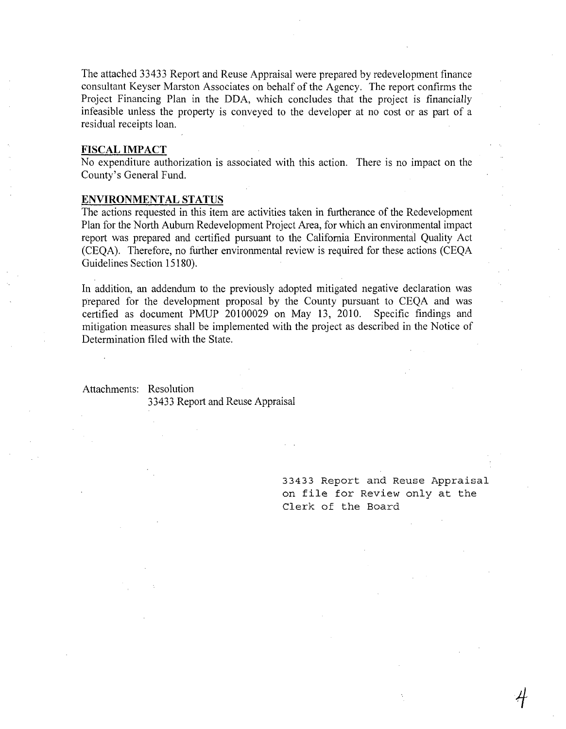The attached 33433 Report and Reuse Appraisal were prepared by redevelopment finance consultant Keyser Marston Associates on behalf of the Agency. The report confirms the Project Financing Plan in the DDA, which concludes that the project is financially infeasible unless the property is conveyed to the developer at no cost or as part of a residual receipts loan.

#### **FISCAL IMPACT**

No expenditure authorization is associated with this action. There is no impact on the County's General Fund.

### **ENVIRONMENTAL STATUS**

The actions requested in this item are activities taken in furtherance of the Redevelopment Plan for the North Auburn Redevelopment Project Area, for which an environmental impact report was prepared and certified pursuant to the California Environmental Quality Act (CEQA). Therefore, no further environmental review is required for these actions (CEQA Guidelines Section 15180).

In addition, an addendum to the previously adopted mitigated negative declaration was prepared for the development proposal by the County pursuant to CEQA and was certified as document PMUP 20100029 on May 13, 2010. Specific findings and mitigation measures shall be implemented with the project as described in the Notice of Determination filed with the State.

#### Attachments: Resolution

33433 Report and Reuse Appraisal

33433 Report and Reuse Appraisal on file for Review only at the Clerk of the Board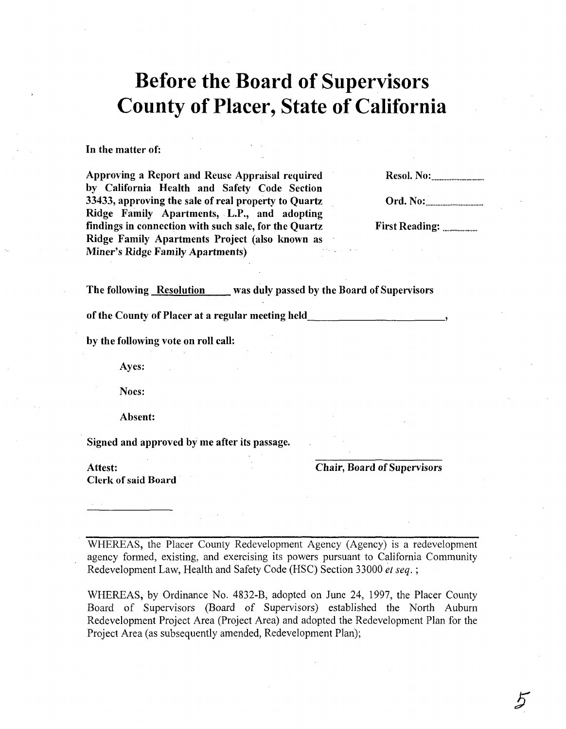# **Before the Board of Supervisors County of Placer, State of California**

In the matter of:

Approving a Report and Reuse Appraisal required by California Health and Safety Code Section 33433, approving the sale of real property to Quartz Ridge Family Apartments, L.P., and adopting findings in connection with such sale, for the Quartz Ridge Family Apartments Project (also known as Miner's Ridge Family Apartments)

Resol. No: .............................. ..

Ord. No: **......................** 

First Reading: .................... .

The following Resolution was duly passed by the Board of Supervisors

of the County of Placer at a regular meeting held

by the following vote on roll call:

Ayes:

Noes:

Absent:

Signed and approved by me after its passage.

Clerk of said Board

Attest: Chair, Board of Supervisors

WHEREAS, the Placer County Redevelopment Agency (Agency) is a redevelopment agency formed, existing, and exercising its powers pursuant to California Community Redevelopment Law, Health and Safety Code (HSC) Section 33000 *et seq. ;* 

WHEREAS, by Ordinance No. 4832-B, adopted on June 24, 1997, the Placer County Board of Supervisors (Board of Supervisors) established the North Auburn Redevelopment Project Area (Project Area) and adopted the Redevelopment Plan for the Project Area (as subsequently amended, Redevelopment Plan);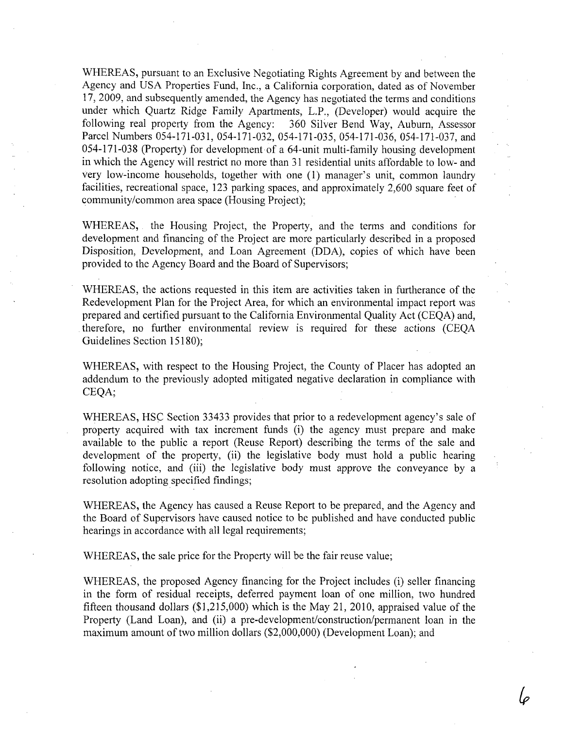WHEREAS, pursuant to an Exclusive Negotiating Rights Agreement by and between the Agency and USA Properties Fund, Inc., a California corporation, dated as of November 17,2009, and subsequently amended, the Agency has negotiated the terms and conditions under which Quartz Ridge Family Apartments, L.P., (Developer) would acquire the following real property from the Agency: 360 Silver Bend Way, Auburn, Assessor Parcel Numbers 054-171-031, 054-171-032, 054-171-035, 054-171-036, 054-171-037, and 054-171-038 (Property) for development of a 64-unit multi-family housing development in which the Agency will restrict no more than 31 residential units affordable to low- and very low-income households, together with one (1) manager's unit, common laundry facilities, recreational space, 123 parking spaces, and approximately 2,600 square feet of community/common area space (Housing Project);

WHEREAS, the Housing Project, the Property, and the terms and conditions for development and financing of the Project are more particularly described in a proposed Disposition, Development, and Loan Agreement (DDA), copies of which have been provided to the Agency Board and the Board of Supervisors;

WHEREAS, the actions requested in this item are activities taken in furtherance of the Redevelopment Plan for the Project Area, for which an environmental impact report was prepared and certified pursuant to the California Environmental Quality Act (CEQA) and, therefore, no further environmental review is required for these actions (CEQA Guidelines Section 15180);

WHEREAS, with respect to the Housing Project, the County of Placer has adopted an addendum to the previously adopted mitigated negative declaration in compliance with CEQA;

WHEREAS, HSC Section 33433 provides that prior to a redevelopment agency's sale of property acquired with tax increment funds (i) the agency must prepare and make available to the public a report (Reuse Report) describing the terms of the sale and development of the property, (ii) the legislative body must hold a public hearing following notice, and (iii) the legislative body must approve the conveyance by a resolution adopting specified findings;

WHEREAS, the Agency has caused a Reuse Report to be prepared, and the Agency and the Board of Supervisors have caused notice to be published and have conducted public hearings in accordance with all legal requirements;

WHEREAS, the sale price for the Property will be the fair reuse value;

WHEREAS, the proposed Agency financing for the Project includes (i) seller financing in the form of residual receipts, deferred payment loan of one million, two hundred fifteen thousand dollars  $(\$1,215,000)$  which is the May 21, 2010, appraised value of the Property (Land Loan), and (ii) a pre-development/construction/permanent loan in the maximum amount of two million dollars (\$2,000,000) (Development Loan); and

lo